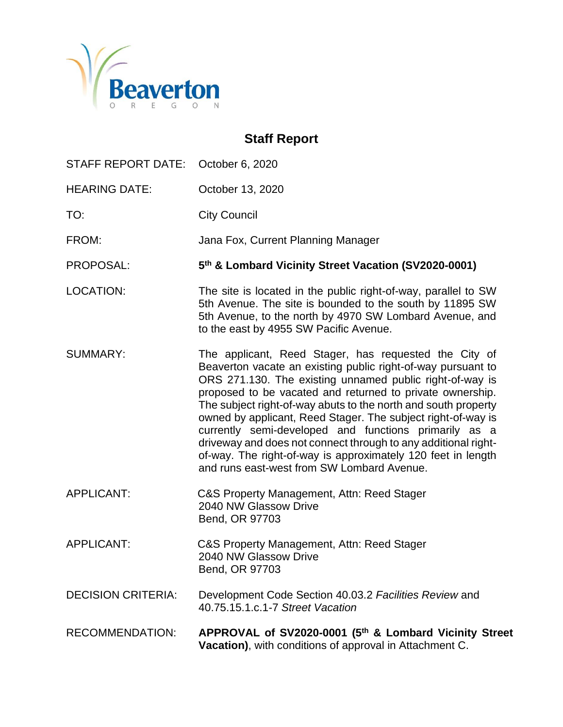

# **Staff Report**

| STAFF REPORT DATE:        | October 6, 2020                                                                                                                                                                                                                                                                                                                                                                                                                                                                                                                                                                                                           |
|---------------------------|---------------------------------------------------------------------------------------------------------------------------------------------------------------------------------------------------------------------------------------------------------------------------------------------------------------------------------------------------------------------------------------------------------------------------------------------------------------------------------------------------------------------------------------------------------------------------------------------------------------------------|
| <b>HEARING DATE:</b>      | October 13, 2020                                                                                                                                                                                                                                                                                                                                                                                                                                                                                                                                                                                                          |
| TO:                       | <b>City Council</b>                                                                                                                                                                                                                                                                                                                                                                                                                                                                                                                                                                                                       |
| FROM:                     | Jana Fox, Current Planning Manager                                                                                                                                                                                                                                                                                                                                                                                                                                                                                                                                                                                        |
| PROPOSAL:                 | 5th & Lombard Vicinity Street Vacation (SV2020-0001)                                                                                                                                                                                                                                                                                                                                                                                                                                                                                                                                                                      |
| LOCATION:                 | The site is located in the public right-of-way, parallel to SW<br>5th Avenue. The site is bounded to the south by 11895 SW<br>5th Avenue, to the north by 4970 SW Lombard Avenue, and<br>to the east by 4955 SW Pacific Avenue.                                                                                                                                                                                                                                                                                                                                                                                           |
| <b>SUMMARY:</b>           | The applicant, Reed Stager, has requested the City of<br>Beaverton vacate an existing public right-of-way pursuant to<br>ORS 271.130. The existing unnamed public right-of-way is<br>proposed to be vacated and returned to private ownership.<br>The subject right-of-way abuts to the north and south property<br>owned by applicant, Reed Stager. The subject right-of-way is<br>currently semi-developed and functions primarily as a<br>driveway and does not connect through to any additional right-<br>of-way. The right-of-way is approximately 120 feet in length<br>and runs east-west from SW Lombard Avenue. |
| <b>APPLICANT:</b>         | C&S Property Management, Attn: Reed Stager<br>2040 NW Glassow Drive<br>Bend, OR 97703                                                                                                                                                                                                                                                                                                                                                                                                                                                                                                                                     |
| <b>APPLICANT:</b>         | C&S Property Management, Attn: Reed Stager<br>2040 NW Glassow Drive<br>Bend, OR 97703                                                                                                                                                                                                                                                                                                                                                                                                                                                                                                                                     |
| <b>DECISION CRITERIA:</b> | Development Code Section 40.03.2 Facilities Review and<br>40.75.15.1.c.1-7 Street Vacation                                                                                                                                                                                                                                                                                                                                                                                                                                                                                                                                |
| <b>RECOMMENDATION:</b>    | APPROVAL of SV2020-0001 (5th & Lombard Vicinity Street<br>Vacation), with conditions of approval in Attachment C.                                                                                                                                                                                                                                                                                                                                                                                                                                                                                                         |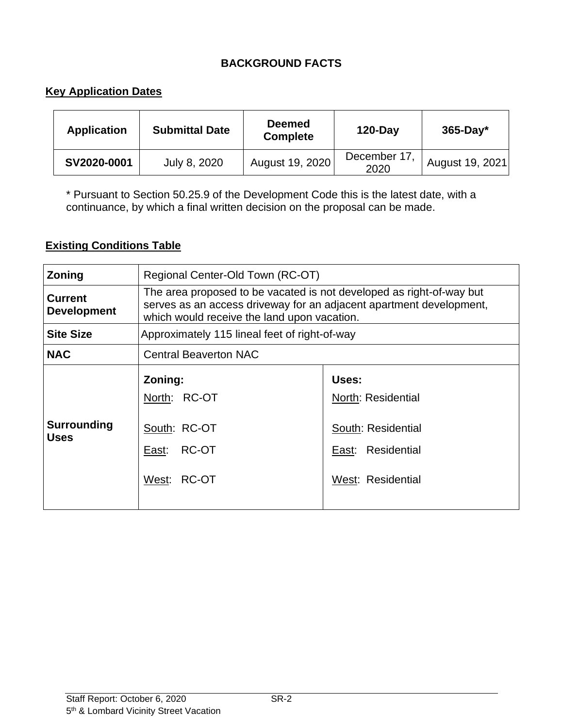# **BACKGROUND FACTS**

# **Key Application Dates**

| <b>Application</b> | <b>Submittal Date</b> | <b>Deemed</b><br><b>Complete</b> | <b>120-Day</b>       | $365$ -Day*     |
|--------------------|-----------------------|----------------------------------|----------------------|-----------------|
| SV2020-0001        | July 8, 2020          | August 19, 2020                  | December 17.<br>2020 | August 19, 2021 |

\* Pursuant to Section 50.25.9 of the Development Code this is the latest date, with a continuance, by which a final written decision on the proposal can be made.

# **Existing Conditions Table**

| Zoning                               | Regional Center-Old Town (RC-OT)                                                                                                                                                           |                                                                                             |  |
|--------------------------------------|--------------------------------------------------------------------------------------------------------------------------------------------------------------------------------------------|---------------------------------------------------------------------------------------------|--|
| <b>Current</b><br><b>Development</b> | The area proposed to be vacated is not developed as right-of-way but<br>serves as an access driveway for an adjacent apartment development,<br>which would receive the land upon vacation. |                                                                                             |  |
| <b>Site Size</b>                     | Approximately 115 lineal feet of right-of-way                                                                                                                                              |                                                                                             |  |
| <b>NAC</b>                           | <b>Central Beaverton NAC</b>                                                                                                                                                               |                                                                                             |  |
| <b>Surrounding</b><br><b>Uses</b>    | Zoning:<br>North: RC-OT<br>South: RC-OT<br>RC-OT<br>East:<br>West: RC-OT                                                                                                                   | Uses:<br>North: Residential<br>South: Residential<br>East: Residential<br>West: Residential |  |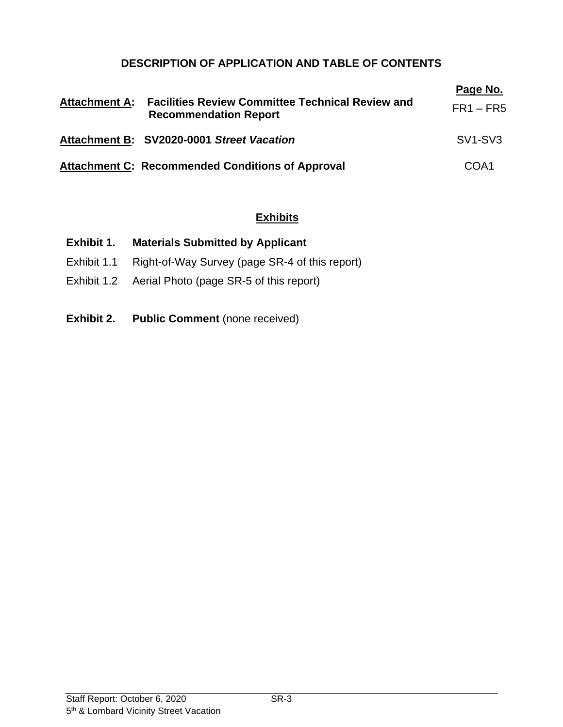# **DESCRIPTION OF APPLICATION AND TABLE OF CONTENTS**

| <b>Attachment A:</b> | <b>Facilities Review Committee Technical Review and</b><br><b>Recommendation Report</b> | Page No.<br>$FR1 - FR5$          |
|----------------------|-----------------------------------------------------------------------------------------|----------------------------------|
|                      | Attachment B: SV2020-0001 Street Vacation                                               | SV <sub>1</sub> -SV <sub>3</sub> |
|                      | <b>Attachment C: Recommended Conditions of Approval</b>                                 | COA <sub>1</sub>                 |

# **Exhibits**

| Exhibit 1.  | <b>Materials Submitted by Applicant</b>        |
|-------------|------------------------------------------------|
| Exhibit 1.1 | Right-of-Way Survey (page SR-4 of this report) |

- Exhibit 1.2 Aerial Photo (page SR-5 of this report)
- **Exhibit 2. Public Comment** (none received)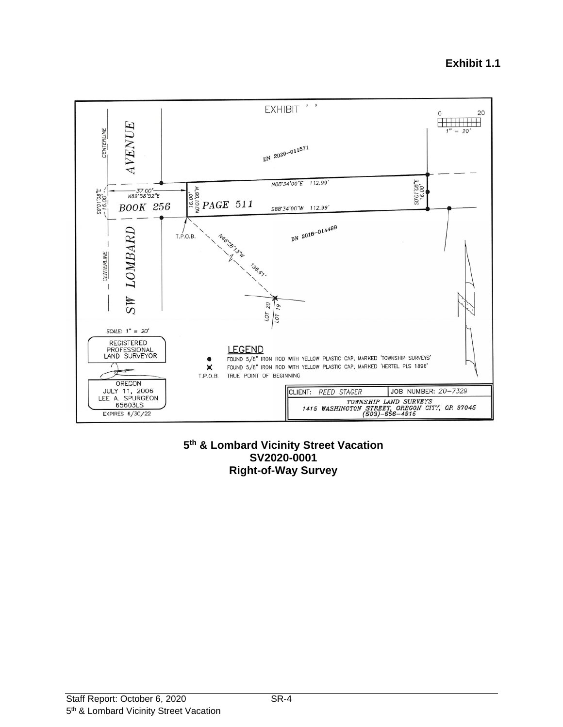#### EXHIBIT ' ' 20  $\Omega$ **HILLING** VENUE  $= 20'$ **CENTERLINE**  $1''$ DN 2020-011571 3"80'10"02<br>3"80'10"02 N88'34'00"E 112.99"  $\begin{array}{l} \begin{array}{c} \stackrel{*}{\underset{2}{\rightleftarrows}}\\ \stackrel{2}{\underset{2}{\rightleftarrows}}\\ \stackrel{\infty}{\rightleftarrows} \end{array} \end{array}$ 30'00'E  $-37.00$ <sup>2</sup><br>N89\*58'52"E **BOOK 256** S88'34'00"W 112.99' DN 2016-014499 LOMBARD Ng6:38:34 T.P.O.B. **CENTERLINE** 196.67  $MS$  $\frac{20}{19}$  $rac{107}{101}$ SCALE:  $1'' = 20'$ REGISTERED<br>PROFESSIONAL<br>LAND SURVEYOR **LEGEND** FOUND 5/8" IRON ROD WITH YELLOW PLASTIC CAP, MARKED 'TOWNSHIP SURVEYS' FOUND 5/8" IRON ROD WITH YELLOW PLASTIC CAP, MARKED 'HERTEL PLS 1896' × TRUE POINT OF BEGINNING T.P.O.B. OREGON JULY 11, 2006<br>LEE A. SPURGEON JOB NUMBER: 20-7329 CLIENT: REED STAGER TOWNSHIP LAND SURVEYS<br>
TOWNSHIP LAND SURVEYS<br>
1415 WASHINGTON STREET, ORECON CITY, OR 97045<br>
(503)-656-4915 65603LS EXPIRES 6/30/22

### **5 th & Lombard Vicinity Street Vacation SV2020-0001 Right-of-Way Survey**

#### Staff Report: October 6, 2020 SR-4 5<sup>th</sup> & Lombard Vicinity Street Vacation

# **Exhibit 1.1**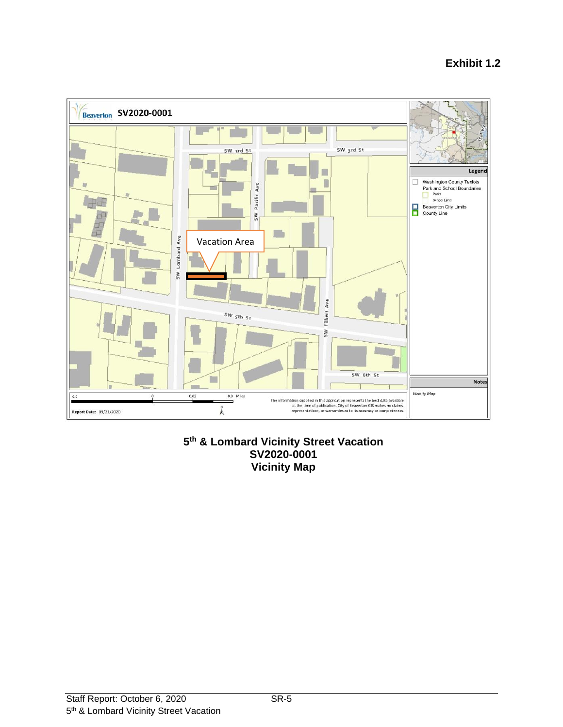

# **5 th & Lombard Vicinity Street Vacation SV2020-0001 Vicinity Map**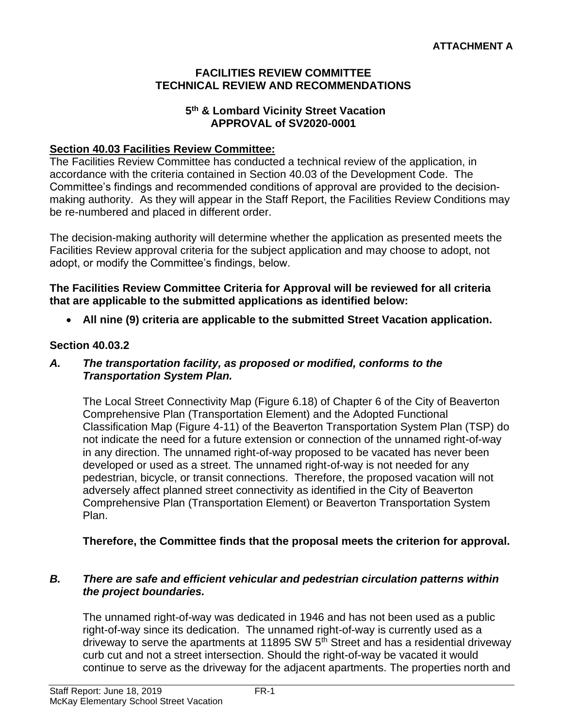# **FACILITIES REVIEW COMMITTEE TECHNICAL REVIEW AND RECOMMENDATIONS**

# **5 th & Lombard Vicinity Street Vacation APPROVAL of SV2020-0001**

# **Section 40.03 Facilities Review Committee:**

The Facilities Review Committee has conducted a technical review of the application, in accordance with the criteria contained in Section 40.03 of the Development Code. The Committee's findings and recommended conditions of approval are provided to the decisionmaking authority. As they will appear in the Staff Report, the Facilities Review Conditions may be re-numbered and placed in different order.

The decision-making authority will determine whether the application as presented meets the Facilities Review approval criteria for the subject application and may choose to adopt, not adopt, or modify the Committee's findings, below.

**The Facilities Review Committee Criteria for Approval will be reviewed for all criteria that are applicable to the submitted applications as identified below:**

• **All nine (9) criteria are applicable to the submitted Street Vacation application.**

# **Section 40.03.2**

# *A. The transportation facility, as proposed or modified, conforms to the Transportation System Plan.*

The Local Street Connectivity Map (Figure 6.18) of Chapter 6 of the City of Beaverton Comprehensive Plan (Transportation Element) and the Adopted Functional Classification Map (Figure 4-11) of the Beaverton Transportation System Plan (TSP) do not indicate the need for a future extension or connection of the unnamed right-of-way in any direction. The unnamed right-of-way proposed to be vacated has never been developed or used as a street. The unnamed right-of-way is not needed for any pedestrian, bicycle, or transit connections. Therefore, the proposed vacation will not adversely affect planned street connectivity as identified in the City of Beaverton Comprehensive Plan (Transportation Element) or Beaverton Transportation System Plan.

**Therefore, the Committee finds that the proposal meets the criterion for approval.** 

# *B. There are safe and efficient vehicular and pedestrian circulation patterns within the project boundaries.*

The unnamed right-of-way was dedicated in 1946 and has not been used as a public right-of-way since its dedication. The unnamed right-of-way is currently used as a driveway to serve the apartments at 11895 SW  $5<sup>th</sup>$  Street and has a residential driveway curb cut and not a street intersection. Should the right-of-way be vacated it would continue to serve as the driveway for the adjacent apartments. The properties north and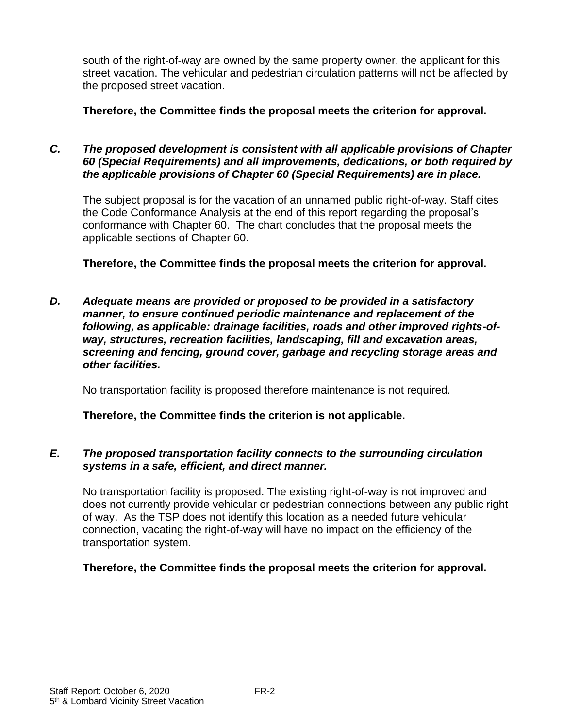south of the right-of-way are owned by the same property owner, the applicant for this street vacation. The vehicular and pedestrian circulation patterns will not be affected by the proposed street vacation.

**Therefore, the Committee finds the proposal meets the criterion for approval.**

# *C. The proposed development is consistent with all applicable provisions of Chapter 60 (Special Requirements) and all improvements, dedications, or both required by the applicable provisions of Chapter 60 (Special Requirements) are in place.*

The subject proposal is for the vacation of an unnamed public right-of-way. Staff cites the Code Conformance Analysis at the end of this report regarding the proposal's conformance with Chapter 60. The chart concludes that the proposal meets the applicable sections of Chapter 60.

**Therefore, the Committee finds the proposal meets the criterion for approval.**

*D. Adequate means are provided or proposed to be provided in a satisfactory manner, to ensure continued periodic maintenance and replacement of the following, as applicable: drainage facilities, roads and other improved rights-ofway, structures, recreation facilities, landscaping, fill and excavation areas, screening and fencing, ground cover, garbage and recycling storage areas and other facilities.*

No transportation facility is proposed therefore maintenance is not required.

**Therefore, the Committee finds the criterion is not applicable.**

# *E. The proposed transportation facility connects to the surrounding circulation systems in a safe, efficient, and direct manner.*

No transportation facility is proposed. The existing right-of-way is not improved and does not currently provide vehicular or pedestrian connections between any public right of way. As the TSP does not identify this location as a needed future vehicular connection, vacating the right-of-way will have no impact on the efficiency of the transportation system.

# **Therefore, the Committee finds the proposal meets the criterion for approval.**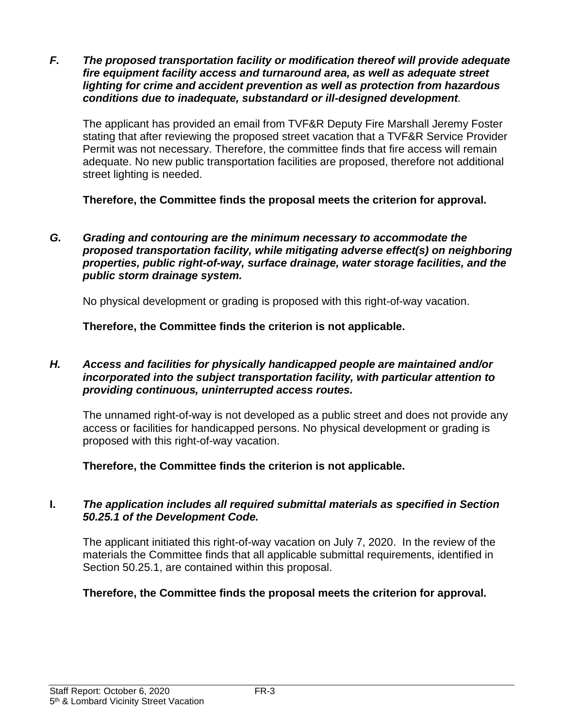*F. The proposed transportation facility or modification thereof will provide adequate fire equipment facility access and turnaround area, as well as adequate street lighting for crime and accident prevention as well as protection from hazardous conditions due to inadequate, substandard or ill-designed development.*

The applicant has provided an email from TVF&R Deputy Fire Marshall Jeremy Foster stating that after reviewing the proposed street vacation that a TVF&R Service Provider Permit was not necessary. Therefore, the committee finds that fire access will remain adequate. No new public transportation facilities are proposed, therefore not additional street lighting is needed.

**Therefore, the Committee finds the proposal meets the criterion for approval.**

*G. Grading and contouring are the minimum necessary to accommodate the proposed transportation facility, while mitigating adverse effect(s) on neighboring properties, public right-of-way, surface drainage, water storage facilities, and the public storm drainage system.*

No physical development or grading is proposed with this right-of-way vacation.

**Therefore, the Committee finds the criterion is not applicable.**

# *H. Access and facilities for physically handicapped people are maintained and/or incorporated into the subject transportation facility, with particular attention to providing continuous, uninterrupted access routes.*

The unnamed right-of-way is not developed as a public street and does not provide any access or facilities for handicapped persons. No physical development or grading is proposed with this right-of-way vacation.

**Therefore, the Committee finds the criterion is not applicable.**

# **I.** *The application includes all required submittal materials as specified in Section 50.25.1 of the Development Code.*

The applicant initiated this right-of-way vacation on July 7, 2020. In the review of the materials the Committee finds that all applicable submittal requirements, identified in Section 50.25.1, are contained within this proposal.

**Therefore, the Committee finds the proposal meets the criterion for approval.**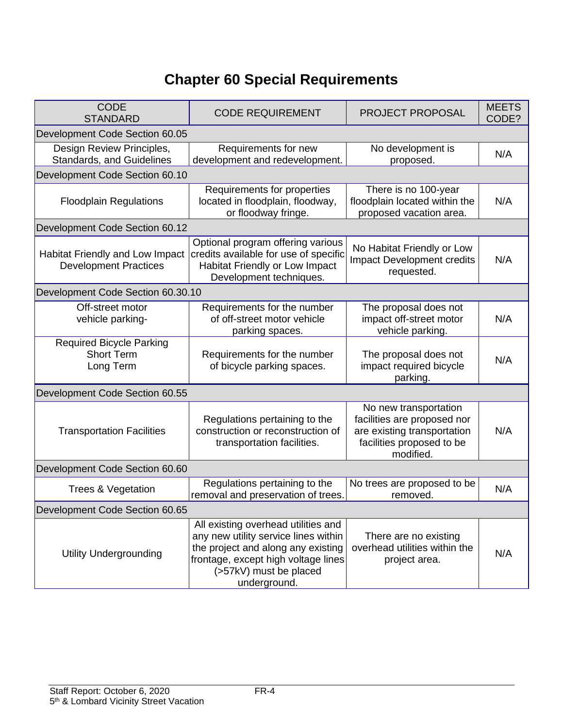# **Chapter 60 Special Requirements**

| <b>CODE</b><br><b>STANDARD</b>                                    | <b>CODE REQUIREMENT</b>                                                                                                                                                                            | PROJECT PROPOSAL                                                                                                              | <b>MEETS</b><br>CODE? |
|-------------------------------------------------------------------|----------------------------------------------------------------------------------------------------------------------------------------------------------------------------------------------------|-------------------------------------------------------------------------------------------------------------------------------|-----------------------|
| Development Code Section 60.05                                    |                                                                                                                                                                                                    |                                                                                                                               |                       |
| Design Review Principles,<br>Standards, and Guidelines            | Requirements for new<br>development and redevelopment.                                                                                                                                             | No development is<br>proposed.                                                                                                | N/A                   |
| Development Code Section 60.10                                    |                                                                                                                                                                                                    |                                                                                                                               |                       |
| <b>Floodplain Regulations</b>                                     | Requirements for properties<br>located in floodplain, floodway,<br>or floodway fringe.                                                                                                             | There is no 100-year<br>floodplain located within the<br>proposed vacation area.                                              | N/A                   |
| Development Code Section 60.12                                    |                                                                                                                                                                                                    |                                                                                                                               |                       |
| Habitat Friendly and Low Impact<br><b>Development Practices</b>   | Optional program offering various<br>credits available for use of specific<br>Habitat Friendly or Low Impact<br>Development techniques.                                                            | No Habitat Friendly or Low<br><b>Impact Development credits</b><br>requested.                                                 | N/A                   |
| Development Code Section 60.30.10                                 |                                                                                                                                                                                                    |                                                                                                                               |                       |
| Off-street motor<br>vehicle parking-                              | Requirements for the number<br>of off-street motor vehicle<br>parking spaces.                                                                                                                      | The proposal does not<br>impact off-street motor<br>vehicle parking.                                                          | N/A                   |
| <b>Required Bicycle Parking</b><br><b>Short Term</b><br>Long Term | Requirements for the number<br>of bicycle parking spaces.                                                                                                                                          | The proposal does not<br>impact required bicycle<br>parking.                                                                  | N/A                   |
| Development Code Section 60.55                                    |                                                                                                                                                                                                    |                                                                                                                               |                       |
| <b>Transportation Facilities</b>                                  | Regulations pertaining to the<br>construction or reconstruction of<br>transportation facilities.                                                                                                   | No new transportation<br>facilities are proposed nor<br>are existing transportation<br>facilities proposed to be<br>modified. | N/A                   |
| Development Code Section 60.60                                    |                                                                                                                                                                                                    |                                                                                                                               |                       |
| Trees & Vegetation                                                | Regulations pertaining to the<br>removal and preservation of trees.                                                                                                                                | No trees are proposed to be<br>removed.                                                                                       | N/A                   |
| Development Code Section 60.65                                    |                                                                                                                                                                                                    |                                                                                                                               |                       |
| <b>Utility Undergrounding</b>                                     | All existing overhead utilities and<br>any new utility service lines within<br>the project and along any existing<br>frontage, except high voltage lines<br>(>57kV) must be placed<br>underground. | There are no existing<br>overhead utilities within the<br>project area.                                                       | N/A                   |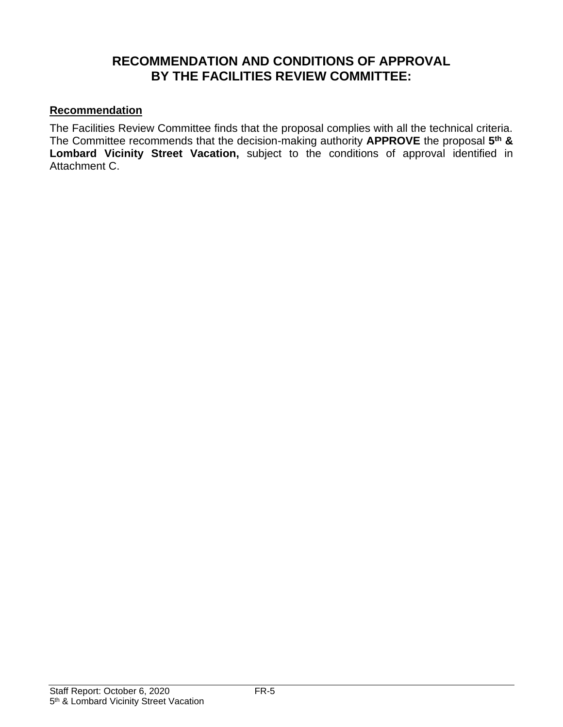# **RECOMMENDATION AND CONDITIONS OF APPROVAL BY THE FACILITIES REVIEW COMMITTEE:**

# **Recommendation**

The Facilities Review Committee finds that the proposal complies with all the technical criteria. The Committee recommends that the decision-making authority **APPROVE** the proposal **5 th & Lombard Vicinity Street Vacation,** subject to the conditions of approval identified in Attachment C.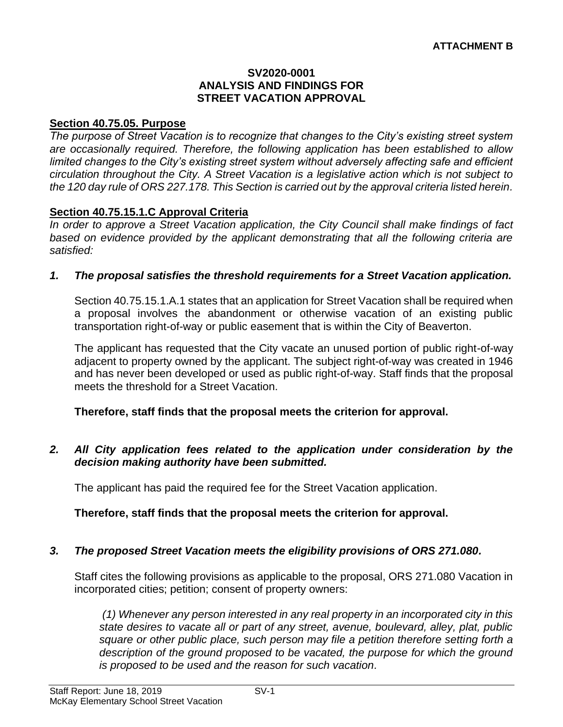### **SV2020-0001 ANALYSIS AND FINDINGS FOR STREET VACATION APPROVAL**

# **Section 40.75.05. Purpose**

*The purpose of Street Vacation is to recognize that changes to the City's existing street system are occasionally required. Therefore, the following application has been established to allow limited changes to the City's existing street system without adversely affecting safe and efficient circulation throughout the City. A Street Vacation is a legislative action which is not subject to the 120 day rule of ORS 227.178. This Section is carried out by the approval criteria listed herein.*

# **Section 40.75.15.1.C Approval Criteria**

*In order to approve a Street Vacation application, the City Council shall make findings of fact based on evidence provided by the applicant demonstrating that all the following criteria are satisfied:*

# *1. The proposal satisfies the threshold requirements for a Street Vacation application.*

Section 40.75.15.1.A.1 states that an application for Street Vacation shall be required when a proposal involves the abandonment or otherwise vacation of an existing public transportation right-of-way or public easement that is within the City of Beaverton.

The applicant has requested that the City vacate an unused portion of public right-of-way adjacent to property owned by the applicant. The subject right-of-way was created in 1946 and has never been developed or used as public right-of-way. Staff finds that the proposal meets the threshold for a Street Vacation.

# **Therefore, staff finds that the proposal meets the criterion for approval.**

# *2. All City application fees related to the application under consideration by the decision making authority have been submitted.*

The applicant has paid the required fee for the Street Vacation application.

# **Therefore, staff finds that the proposal meets the criterion for approval.**

# *3. The proposed Street Vacation meets the eligibility provisions of ORS 271.080.*

Staff cites the following provisions as applicable to the proposal, ORS 271.080 Vacation in incorporated cities; petition; consent of property owners:

*(1) Whenever any person interested in any real property in an incorporated city in this state desires to vacate all or part of any street, avenue, boulevard, alley, plat, public square or other public place, such person may file a petition therefore setting forth a description of the ground proposed to be vacated, the purpose for which the ground is proposed to be used and the reason for such vacation.*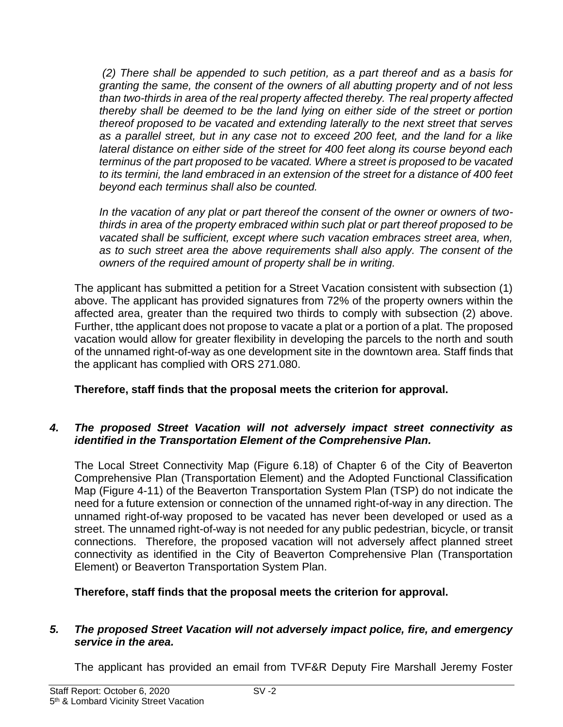*(2) There shall be appended to such petition, as a part thereof and as a basis for granting the same, the consent of the owners of all abutting property and of not less than two-thirds in area of the real property affected thereby. The real property affected thereby shall be deemed to be the land lying on either side of the street or portion thereof proposed to be vacated and extending laterally to the next street that serves as a parallel street, but in any case not to exceed 200 feet, and the land for a like lateral distance on either side of the street for 400 feet along its course beyond each terminus of the part proposed to be vacated. Where a street is proposed to be vacated to its termini, the land embraced in an extension of the street for a distance of 400 feet beyond each terminus shall also be counted.* 

*In the vacation of any plat or part thereof the consent of the owner or owners of twothirds in area of the property embraced within such plat or part thereof proposed to be vacated shall be sufficient, except where such vacation embraces street area, when, as to such street area the above requirements shall also apply. The consent of the owners of the required amount of property shall be in writing.* 

The applicant has submitted a petition for a Street Vacation consistent with subsection (1) above. The applicant has provided signatures from 72% of the property owners within the affected area, greater than the required two thirds to comply with subsection (2) above. Further, tthe applicant does not propose to vacate a plat or a portion of a plat. The proposed vacation would allow for greater flexibility in developing the parcels to the north and south of the unnamed right-of-way as one development site in the downtown area. Staff finds that the applicant has complied with ORS 271.080.

# **Therefore, staff finds that the proposal meets the criterion for approval.**

# *4. The proposed Street Vacation will not adversely impact street connectivity as identified in the Transportation Element of the Comprehensive Plan.*

The Local Street Connectivity Map (Figure 6.18) of Chapter 6 of the City of Beaverton Comprehensive Plan (Transportation Element) and the Adopted Functional Classification Map (Figure 4-11) of the Beaverton Transportation System Plan (TSP) do not indicate the need for a future extension or connection of the unnamed right-of-way in any direction. The unnamed right-of-way proposed to be vacated has never been developed or used as a street. The unnamed right-of-way is not needed for any public pedestrian, bicycle, or transit connections. Therefore, the proposed vacation will not adversely affect planned street connectivity as identified in the City of Beaverton Comprehensive Plan (Transportation Element) or Beaverton Transportation System Plan.

**Therefore, staff finds that the proposal meets the criterion for approval.**

# *5. The proposed Street Vacation will not adversely impact police, fire, and emergency service in the area.*

The applicant has provided an email from TVF&R Deputy Fire Marshall Jeremy Foster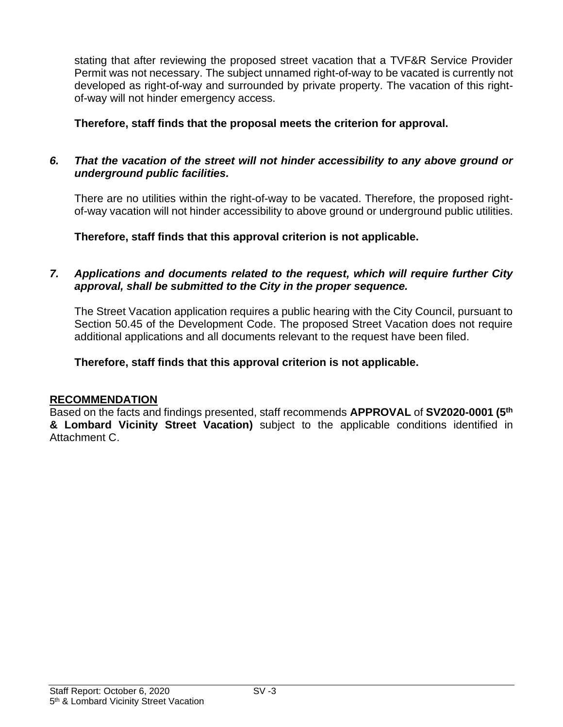stating that after reviewing the proposed street vacation that a TVF&R Service Provider Permit was not necessary. The subject unnamed right-of-way to be vacated is currently not developed as right-of-way and surrounded by private property. The vacation of this rightof-way will not hinder emergency access.

# **Therefore, staff finds that the proposal meets the criterion for approval.**

# *6. That the vacation of the street will not hinder accessibility to any above ground or underground public facilities.*

There are no utilities within the right-of-way to be vacated. Therefore, the proposed rightof-way vacation will not hinder accessibility to above ground or underground public utilities.

**Therefore, staff finds that this approval criterion is not applicable.**

# *7. Applications and documents related to the request, which will require further City approval, shall be submitted to the City in the proper sequence.*

The Street Vacation application requires a public hearing with the City Council, pursuant to Section 50.45 of the Development Code. The proposed Street Vacation does not require additional applications and all documents relevant to the request have been filed.

# **Therefore, staff finds that this approval criterion is not applicable.**

# **RECOMMENDATION**

Based on the facts and findings presented, staff recommends **APPROVAL** of **SV2020-0001 (5 th & Lombard Vicinity Street Vacation)** subject to the applicable conditions identified in Attachment C.